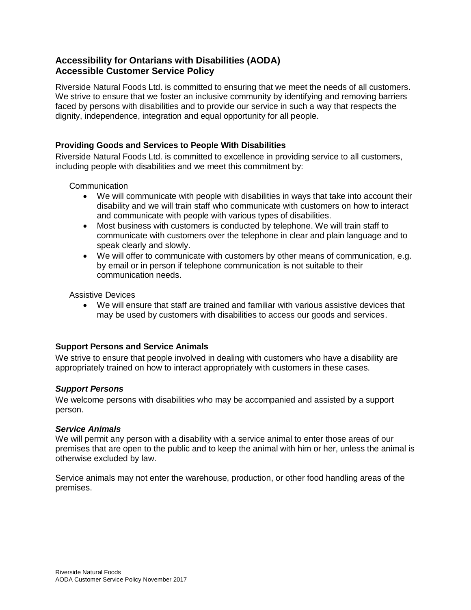# **Accessibility for Ontarians with Disabilities (AODA) Accessible Customer Service Policy**

Riverside Natural Foods Ltd. is committed to ensuring that we meet the needs of all customers. We strive to ensure that we foster an inclusive community by identifying and removing barriers faced by persons with disabilities and to provide our service in such a way that respects the dignity, independence, integration and equal opportunity for all people.

## **Providing Goods and Services to People With Disabilities**

Riverside Natural Foods Ltd. is committed to excellence in providing service to all customers, including people with disabilities and we meet this commitment by:

**Communication** 

- We will communicate with people with disabilities in ways that take into account their disability and we will train staff who communicate with customers on how to interact and communicate with people with various types of disabilities.
- Most business with customers is conducted by telephone. We will train staff to communicate with customers over the telephone in clear and plain language and to speak clearly and slowly.
- We will offer to communicate with customers by other means of communication, e.g. by email or in person if telephone communication is not suitable to their communication needs.

Assistive Devices

 We will ensure that staff are trained and familiar with various assistive devices that may be used by customers with disabilities to access our goods and services.

### **Support Persons and Service Animals**

We strive to ensure that people involved in dealing with customers who have a disability are appropriately trained on how to interact appropriately with customers in these cases.

### *Support Persons*

We welcome persons with disabilities who may be accompanied and assisted by a support person.

### *Service Animals*

We will permit any person with a disability with a service animal to enter those areas of our premises that are open to the public and to keep the animal with him or her, unless the animal is otherwise excluded by law.

Service animals may not enter the warehouse, production, or other food handling areas of the premises.